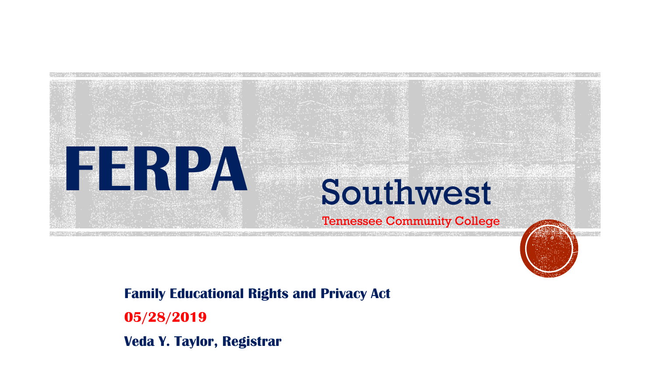

#### **Family Educational Rights and Privacy Act**

**05/28/2019**

**Veda Y. Taylor, Registrar**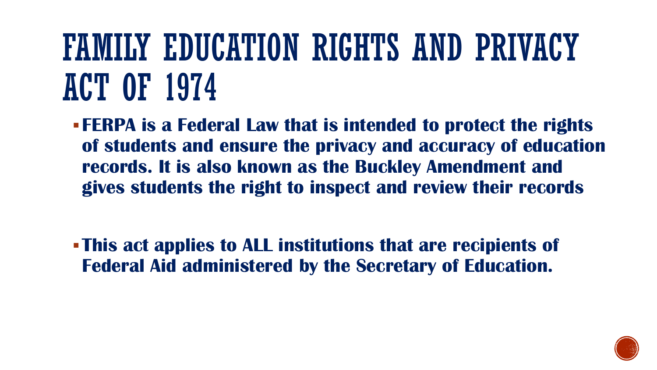### FAMILY EDUCATION RIGHTS AND PRIVACY ACT OF 1974

- **FERPA is a Federal Law that is intended to protect the rights of students and ensure the privacy and accuracy of education records. It is also known as the Buckley Amendment and gives students the right to inspect and review their records**
- **This act applies to ALL institutions that are recipients of Federal Aid administered by the Secretary of Education.**

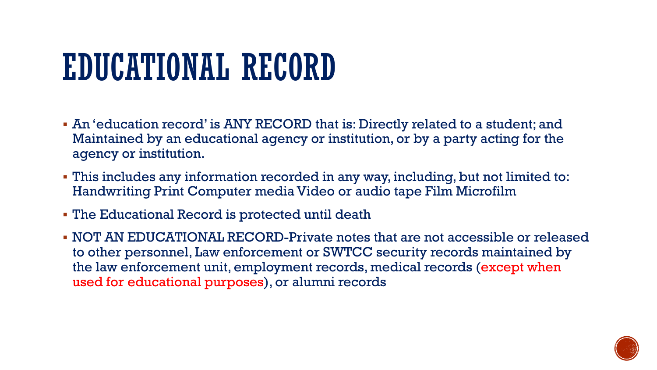### EDUCATIONAL RECORD

- An 'education record' is ANY RECORD that is: Directly related to a student; and Maintained by an educational agency or institution, or by a party acting for the agency or institution.
- This includes any information recorded in any way, including, but not limited to: Handwriting Print Computer media Video or audio tape Film Microfilm
- The Educational Record is protected until death
- NOT AN EDUCATIONAL RECORD-Private notes that are not accessible or released to other personnel, Law enforcement or SWTCC security records maintained by the law enforcement unit, employment records, medical records (except when used for educational purposes), or alumni records

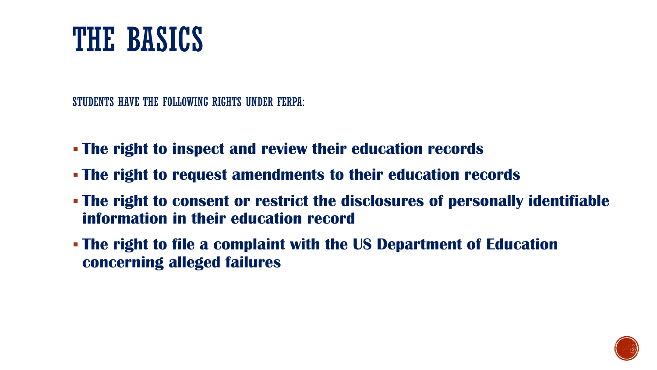#### THE BASICS

STUDENTS HAVE THE FOLLOWING RIGHTS UNDER FERPA:

- **The right to inspect and review their education records**
- **The right to request amendments to their education records**
- **The right to consent or restrict the disclosures of personally identifiable information in their education record**
- **The right to file a complaint with the US Department of Education concerning alleged failures**

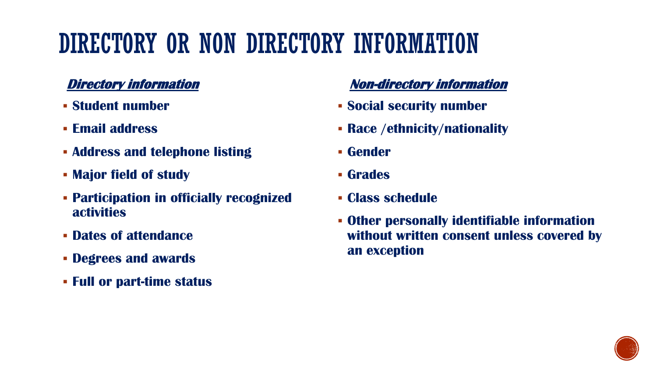#### DIRECTORY OR NON DIRECTORY INFORMATION

#### **Directory information**

- **Student number**
- **Email address**
- **Address and telephone listing**
- **Major field of study**
- **Participation in officially recognized activities**
- **Dates of attendance**
- **Degrees and awards**
- **Full or part-time status**

#### **Non-directory information**

- **Social security number**
- **Race /ethnicity/nationality**
- **Gender**
- **Grades**
- **Class schedule**
- **Other personally identifiable information without written consent unless covered by an exception**

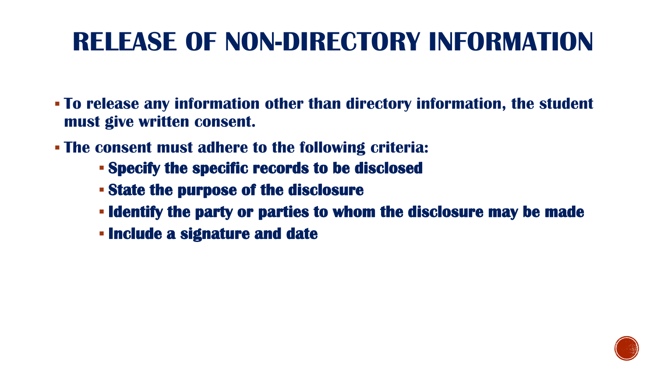#### **RELEASE OF NON-DIRECTORY INFORMATION**

- **To release any information other than directory information, the student must give written consent.**
- **The consent must adhere to the following criteria:** 
	- **Specify the specific records to be disclosed**
	- **State the purpose of the disclosure**
	- **Identify the party or parties to whom the disclosure may be made**
	- **Include a signature and date**

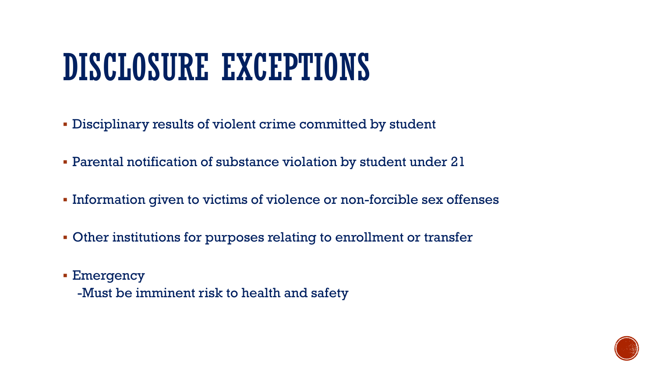### DISCLOSURE EXCEPTIONS

- Disciplinary results of violent crime committed by student
- Parental notification of substance violation by student under 21
- **Information given to victims of violence or non-forcible sex offenses**
- Other institutions for purposes relating to enrollment or transfer
- Emergency
	- -Must be imminent risk to health and safety

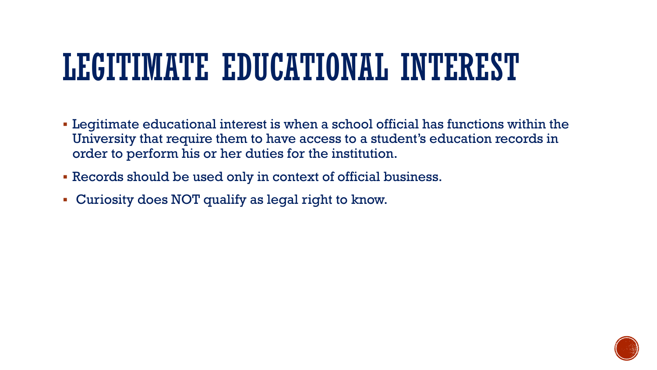### LEGITIMATE EDUCATIONAL INTEREST

- Legitimate educational interest is when a school official has functions within the University that require them to have access to a student's education records in order to perform his or her duties for the institution.
- Records should be used only in context of official business.
- Curiosity does NOT qualify as legal right to know.

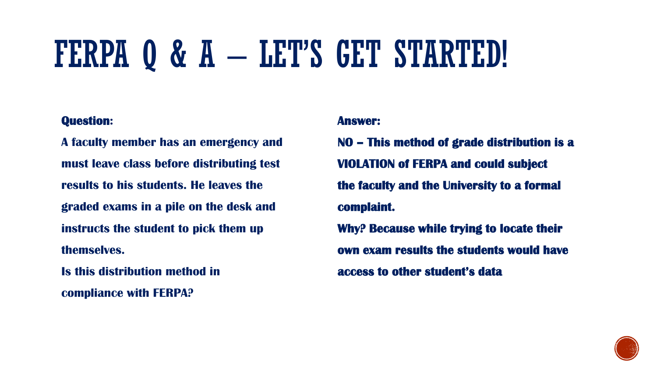### FERPA Q & A – LET'S GET STARTED!

#### **Question:**

**A faculty member has an emergency and must leave class before distributing test results to his students. He leaves the graded exams in a pile on the desk and instructs the student to pick them up themselves.**

**Is this distribution method in compliance with FERPA?**

#### **Answer:**

**NO – This method of grade distribution is a VIOLATION of FERPA and could subject the faculty and the University to a formal complaint. Why? Because while trying to locate their own exam results the students would have access to other student's data**

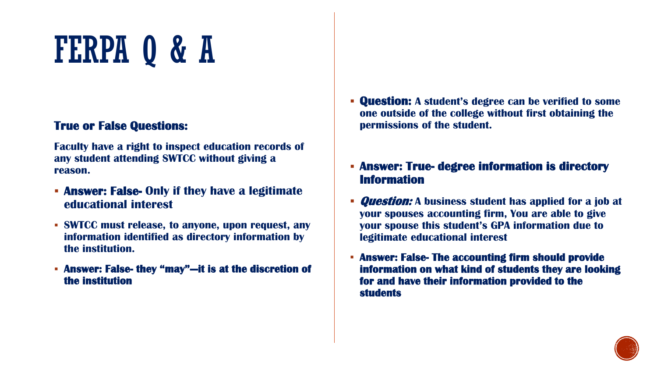#### **True or False Questions:**

**Faculty have a right to inspect education records of any student attending SWTCC without giving a reason.**

- **Answer: False- Only if they have a legitimate educational interest**
- **SWTCC must release, to anyone, upon request, any information identified as directory information by the institution.**
- **Answer: False- they "may"—it is at the discretion of the institution**
- **Question: A student's degree can be verified to some one outside of the college without first obtaining the permissions of the student.**
- **Answer: True- degree information is directory Information**
- **Question: A business student has applied for a job at your spouses accounting firm, You are able to give your spouse this student's GPA information due to legitimate educational interest**
- **Answer: False- The accounting firm should provide information on what kind of students they are looking for and have their information provided to the students**

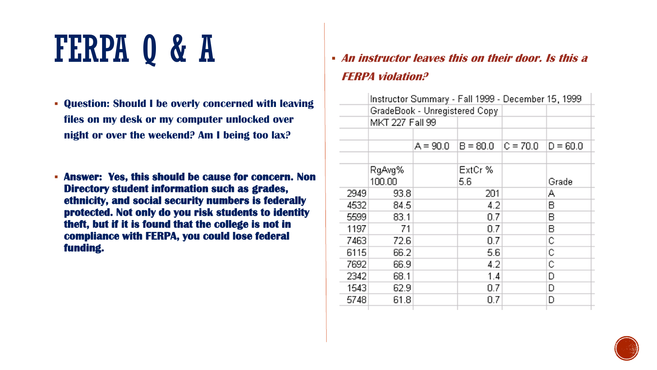- **Question: Should I be overly concerned with leaving files on my desk or my computer unlocked over night or over the weekend? Am I being too lax?**
- **Answer: Yes, this should be cause for concern. Non Directory student information such as grades, ethnicity, and social security numbers is federally protected. Not only do you risk students to identity theft, but if it is found that the college is not in compliance with FERPA, you could lose federal funding.**

 **An instructor leaves this on their door. Is this a FERPA violation?**

|      | Instructor Summary - Fall 1999 - December 15, 1999<br>GradeBook - Unregistered Copy |            |            |            |            |  |
|------|-------------------------------------------------------------------------------------|------------|------------|------------|------------|--|
|      |                                                                                     |            |            |            |            |  |
|      | MKT 227 Fall 99                                                                     |            |            |            |            |  |
|      |                                                                                     |            |            |            |            |  |
|      |                                                                                     | $A = 90.0$ | $B = 80.0$ | $C = 70.0$ | $D = 60.0$ |  |
|      |                                                                                     |            |            |            |            |  |
|      | RgAvg%                                                                              |            | ExtCr %    |            |            |  |
|      | 100.00                                                                              |            | 5.6        |            | Grade      |  |
| 2949 | 93.8                                                                                |            | 201        |            | А          |  |
| 4532 | 84.5                                                                                |            | 4.2        |            | в          |  |
| 5599 | 83.1                                                                                |            | 0.7        |            | в          |  |
| 1197 | 71                                                                                  |            | 0.7        |            | в          |  |
| 7463 | 72.6                                                                                |            | 0.7        |            | С          |  |
| 6115 | 66.2                                                                                |            | 5.6        |            | С          |  |
| 7692 | 66.9                                                                                |            | 4.2        |            | С          |  |
| 2342 | 68.1                                                                                |            | 1.4        |            | D          |  |
| 1543 | 62.9                                                                                |            | 0.7        |            | D          |  |
| 5748 | 61.8                                                                                |            | 0.7        |            | D          |  |
|      |                                                                                     |            |            |            |            |  |

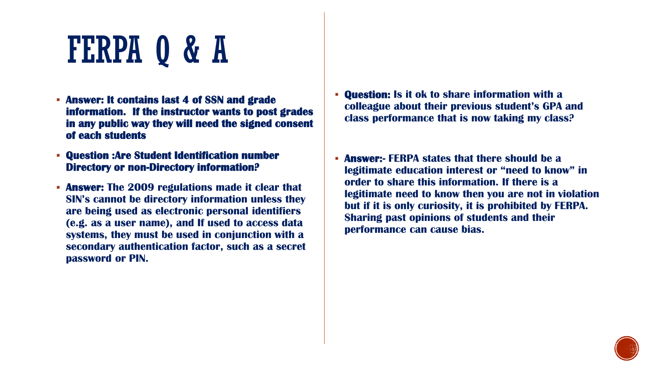- **Answer: It contains last 4 of SSN and grade information. If the instructor wants to post grades in any public way they will need the signed consent of each students**
- **Question :Are Student Identification number Directory or non-Directory information?**
- **Answer: The 2009 regulations made it clear that SIN's cannot be directory information unless they are being used as electronic personal identifiers (e.g. as a user name), and If used to access data systems, they must be used in conjunction with a secondary authentication factor, such as a secret password or PIN.**
- **Question: Is it ok to share information with a colleague about their previous student's GPA and class performance that is now taking my class?**
- **Answer:- FERPA states that there should be a legitimate education interest or "need to know" in order to share this information. If there is a legitimate need to know then you are not in violation but if it is only curiosity, it is prohibited by FERPA. Sharing past opinions of students and their performance can cause bias.**

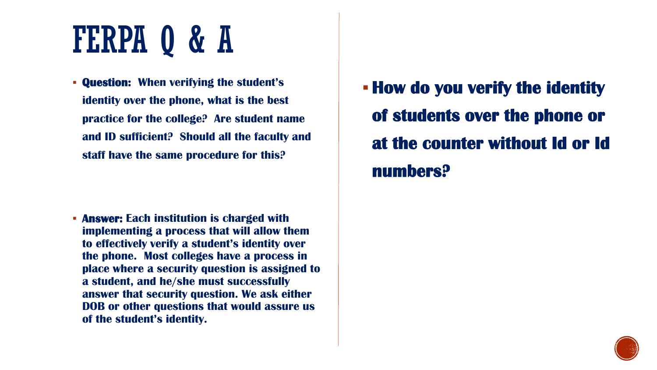**Question: When verifying the student's identity over the phone, what is the best practice for the college? Are student name and ID sufficient? Should all the faculty and staff have the same procedure for this?** 

 **Answer: Each institution is charged with implementing a process that will allow them to effectively verify a student's identity over the phone. Most colleges have a process in place where a security question is assigned to a student, and he/she must successfully answer that security question. We ask either DOB or other questions that would assure us of the student's identity.**

**How do you verify the identity of students over the phone or at the counter without Id or Id numbers?**

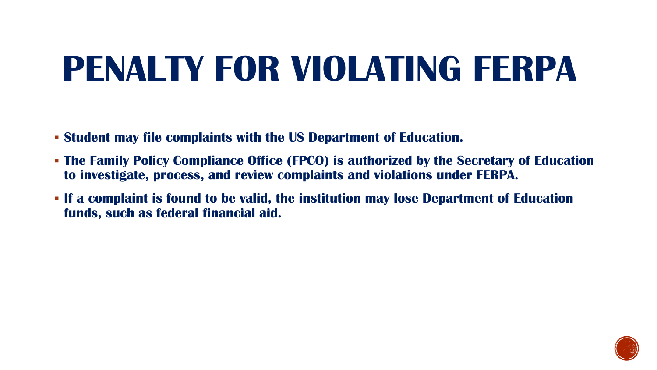### **PENALTY FOR VIOLATING FERPA**

- **Student may file complaints with the US Department of Education.**
- **The Family Policy Compliance Office (FPCO) is authorized by the Secretary of Education to investigate, process, and review complaints and violations under FERPA.**
- **If a complaint is found to be valid, the institution may lose Department of Education funds, such as federal financial aid.**